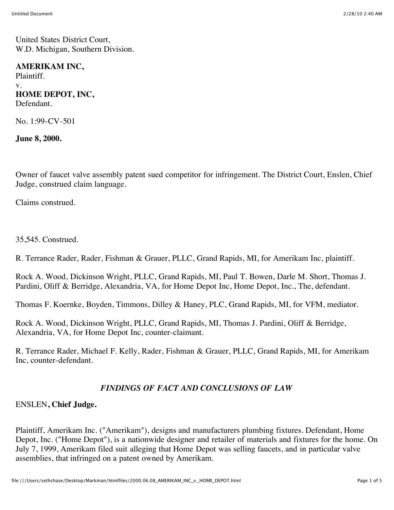United States District Court, W.D. Michigan, Southern Division.

#### **AMERIKAM INC,**

Plaintiff. v. **HOME DEPOT, INC,** Defendant.

No. 1:99-CV-501

**June 8, 2000.**

Owner of faucet valve assembly patent sued competitor for infringement. The District Court, Enslen, Chief Judge, construed claim language.

Claims construed.

35,545. Construed.

R. Terrance Rader, Rader, Fishman & Grauer, PLLC, Grand Rapids, MI, for Amerikam Inc, plaintiff.

Rock A. Wood, Dickinson Wright, PLLC, Grand Rapids, MI, Paul T. Bowen, Darle M. Short, Thomas J. Pardini, Oliff & Berridge, Alexandria, VA, for Home Depot Inc, Home Depot, Inc., The, defendant.

Thomas F. Koernke, Boyden, Timmons, Dilley & Haney, PLC, Grand Rapids, MI, for VFM, mediator.

Rock A. Wood, Dickinson Wright, PLLC, Grand Rapids, MI, Thomas J. Pardini, Oliff & Berridge, Alexandria, VA, for Home Depot Inc, counter-claimant.

R. Terrance Rader, Michael F. Kelly, Rader, Fishman & Grauer, PLLC, Grand Rapids, MI, for Amerikam Inc, counter-defendant.

### *FINDINGS OF FACT AND CONCLUSIONS OF LAW*

# ENSLEN**, Chief Judge.**

Plaintiff, Amerikam Inc. ("Amerikam"), designs and manufacturers plumbing fixtures. Defendant, Home Depot, Inc. ("Home Depot"), is a nationwide designer and retailer of materials and fixtures for the home. On July 7, 1999, Amerikam filed suit alleging that Home Depot was selling faucets, and in particular valve assemblies, that infringed on a patent owned by Amerikam.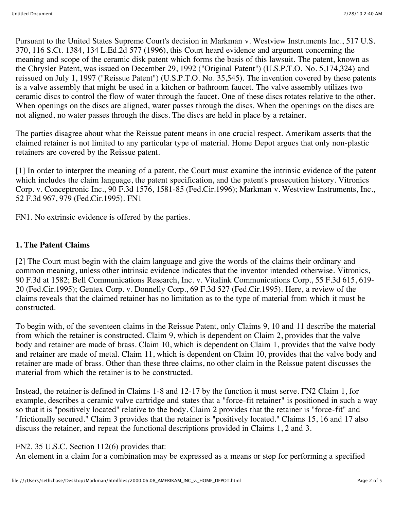Pursuant to the United States Supreme Court's decision in Markman v. Westview Instruments Inc., 517 U.S. 370, 116 S.Ct. 1384, 134 L.Ed.2d 577 (1996), this Court heard evidence and argument concerning the meaning and scope of the ceramic disk patent which forms the basis of this lawsuit. The patent, known as the Chrysler Patent, was issued on December 29, 1992 ("Original Patent") (U.S.P.T.O. No. 5,174,324) and reissued on July 1, 1997 ("Reissue Patent") (U.S.P.T.O. No. 35,545). The invention covered by these patents is a valve assembly that might be used in a kitchen or bathroom faucet. The valve assembly utilizes two ceramic discs to control the flow of water through the faucet. One of these discs rotates relative to the other. When openings on the discs are aligned, water passes through the discs. When the openings on the discs are not aligned, no water passes through the discs. The discs are held in place by a retainer.

The parties disagree about what the Reissue patent means in one crucial respect. Amerikam asserts that the claimed retainer is not limited to any particular type of material. Home Depot argues that only non-plastic retainers are covered by the Reissue patent.

[1] In order to interpret the meaning of a patent, the Court must examine the intrinsic evidence of the patent which includes the claim language, the patent specification, and the patent's prosecution history. Vitronics Corp. v. Conceptronic Inc., 90 F.3d 1576, 1581-85 (Fed.Cir.1996); Markman v. Westview Instruments, Inc., 52 F.3d 967, 979 (Fed.Cir.1995). FN1

FN1. No extrinsic evidence is offered by the parties.

## **1. The Patent Claims**

[2] The Court must begin with the claim language and give the words of the claims their ordinary and common meaning, unless other intrinsic evidence indicates that the inventor intended otherwise. Vitronics, 90 F.3d at 1582; Bell Communications Research, Inc. v. Vitalink Communications Corp., 55 F.3d 615, 619- 20 (Fed.Cir.1995); Gentex Corp. v. Donnelly Corp., 69 F.3d 527 (Fed.Cir.1995). Here, a review of the claims reveals that the claimed retainer has no limitation as to the type of material from which it must be constructed.

To begin with, of the seventeen claims in the Reissue Patent, only Claims 9, 10 and 11 describe the material from which the retainer is constructed. Claim 9, which is dependent on Claim 2, provides that the valve body and retainer are made of brass. Claim 10, which is dependent on Claim 1, provides that the valve body and retainer are made of metal. Claim 11, which is dependent on Claim 10, provides that the valve body and retainer are made of brass. Other than these three claims, no other claim in the Reissue patent discusses the material from which the retainer is to be constructed.

Instead, the retainer is defined in Claims 1-8 and 12-17 by the function it must serve. FN2 Claim 1, for example, describes a ceramic valve cartridge and states that a "force-fit retainer" is positioned in such a way so that it is "positively located" relative to the body. Claim 2 provides that the retainer is "force-fit" and "frictionally secured." Claim 3 provides that the retainer is "positively located." Claims 15, 16 and 17 also discuss the retainer, and repeat the functional descriptions provided in Claims 1, 2 and 3.

FN2. 35 U.S.C. Section 112(6) provides that:

An element in a claim for a combination may be expressed as a means or step for performing a specified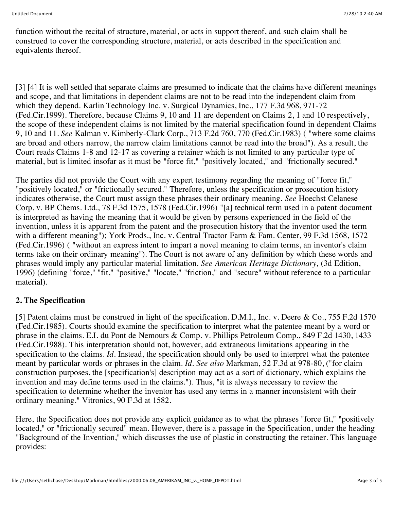function without the recital of structure, material, or acts in support thereof, and such claim shall be construed to cover the corresponding structure, material, or acts described in the specification and equivalents thereof.

[3] [4] It is well settled that separate claims are presumed to indicate that the claims have different meanings and scope, and that limitations in dependent claims are not to be read into the independent claim from which they depend. Karlin Technology Inc. v. Surgical Dynamics, Inc., 177 F.3d 968, 971-72 (Fed.Cir.1999). Therefore, because Claims 9, 10 and 11 are dependent on Claims 2, 1 and 10 respectively, the scope of these independent claims is not limited by the material specification found in dependent Claims 9, 10 and 11. *See* Kalman v. Kimberly-Clark Corp., 713 F.2d 760, 770 (Fed.Cir.1983) ( "where some claims are broad and others narrow, the narrow claim limitations cannot be read into the broad"). As a result, the Court reads Claims 1-8 and 12-17 as covering a retainer which is not limited to any particular type of material, but is limited insofar as it must be "force fit," "positively located," and "frictionally secured."

The parties did not provide the Court with any expert testimony regarding the meaning of "force fit," "positively located," or "frictionally secured." Therefore, unless the specification or prosecution history indicates otherwise, the Court must assign these phrases their ordinary meaning. *See* Hoechst Celanese Corp. v. BP Chems. Ltd., 78 F.3d 1575, 1578 (Fed.Cir.1996) "[a] technical term used in a patent document is interpreted as having the meaning that it would be given by persons experienced in the field of the invention, unless it is apparent from the patent and the prosecution history that the inventor used the term with a different meaning"); York Prods., Inc. v. Central Tractor Farm & Fam. Center, 99 F.3d 1568, 1572 (Fed.Cir.1996) ( "without an express intent to impart a novel meaning to claim terms, an inventor's claim terms take on their ordinary meaning"). The Court is not aware of any definition by which these words and phrases would imply any particular material limitation. *See American Heritage Dictionary,* (3d Edition, 1996) (defining "force," "fit," "positive," "locate," "friction," and "secure" without reference to a particular material).

# **2. The Specification**

[5] Patent claims must be construed in light of the specification. D.M.I., Inc. v. Deere & Co., 755 F.2d 1570 (Fed.Cir.1985). Courts should examine the specification to interpret what the patentee meant by a word or phrase in the claims. E.I. du Pont de Nemours & Comp. v. Phillips Petroleum Comp., 849 F.2d 1430, 1433 (Fed.Cir.1988). This interpretation should not, however, add extraneous limitations appearing in the specification to the claims. *Id*. Instead, the specification should only be used to interpret what the patentee meant by particular words or phrases in the claim. *Id. See also* Markman, 52 F.3d at 978-80, ("for claim construction purposes, the [specification's] description may act as a sort of dictionary, which explains the invention and may define terms used in the claims."). Thus, "it is always necessary to review the specification to determine whether the inventor has used any terms in a manner inconsistent with their ordinary meaning." Vitronics, 90 F.3d at 1582.

Here, the Specification does not provide any explicit guidance as to what the phrases "force fit," "positively located," or "frictionally secured" mean. However, there is a passage in the Specification, under the heading "Background of the Invention," which discusses the use of plastic in constructing the retainer. This language provides: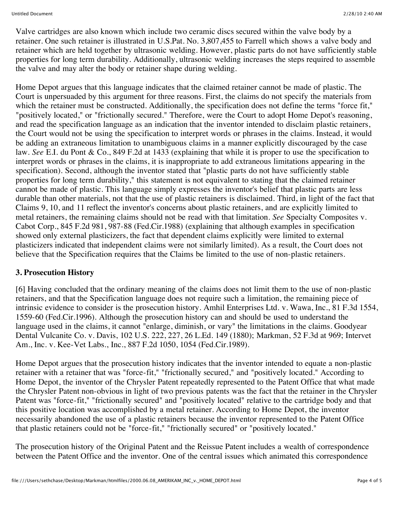Valve cartridges are also known which include two ceramic discs secured within the valve body by a retainer. One such retainer is illustrated in U.S.Pat. No. 3,807,455 to Farrell which shows a valve body and retainer which are held together by ultrasonic welding. However, plastic parts do not have sufficiently stable properties for long term durability. Additionally, ultrasonic welding increases the steps required to assemble the valve and may alter the body or retainer shape during welding.

Home Depot argues that this language indicates that the claimed retainer cannot be made of plastic. The Court is unpersuaded by this argument for three reasons. First, the claims do not specify the materials from which the retainer must be constructed. Additionally, the specification does not define the terms "force fit," "positively located," or "frictionally secured." Therefore, were the Court to adopt Home Depot's reasoning, and read the specification language as an indication that the inventor intended to disclaim plastic retainers, the Court would not be using the specification to interpret words or phrases in the claims. Instead, it would be adding an extraneous limitation to unambiguous claims in a manner explicitly discouraged by the case law. *See* E.I. du Pont & Co., 849 F.2d at 1433 (explaining that while it is proper to use the specification to interpret words or phrases in the claims, it is inappropriate to add extraneous limitations appearing in the specification). Second, although the inventor stated that "plastic parts do not have sufficiently stable properties for long term durability," this statement is not equivalent to stating that the claimed retainer cannot be made of plastic. This language simply expresses the inventor's belief that plastic parts are less durable than other materials, not that the use of plastic retainers is disclaimed. Third, in light of the fact that Claims 9, 10, and 11 reflect the inventor's concerns about plastic retainers, and are explicitly limited to metal retainers, the remaining claims should not be read with that limitation. *See* Specialty Composites v. Cabot Corp., 845 F.2d 981, 987-88 (Fed.Cir.1988) (explaining that although examples in specification showed only external plasticizers, the fact that dependent claims explicitly were limited to external plasticizers indicated that independent claims were not similarly limited). As a result, the Court does not believe that the Specification requires that the Claims be limited to the use of non-plastic retainers.

# **3. Prosecution History**

[6] Having concluded that the ordinary meaning of the claims does not limit them to the use of non-plastic retainers, and that the Specification language does not require such a limitation, the remaining piece of intrinsic evidence to consider is the prosecution history. Amhil Enterprises Ltd. v. Wawa, Inc., 81 F.3d 1554, 1559-60 (Fed.Cir.1996). Although the prosecution history can and should be used to understand the language used in the claims, it cannot "enlarge, diminish, or vary" the limitations in the claims. Goodyear Dental Vulcanite Co. v. Davis, 102 U.S. 222, 227, 26 L.Ed. 149 (1880); Markman, 52 F.3d at 969; Intervet Am., Inc. v. Kee-Vet Labs., Inc., 887 F.2d 1050, 1054 (Fed.Cir.1989).

Home Depot argues that the prosecution history indicates that the inventor intended to equate a non-plastic retainer with a retainer that was "force-fit," "frictionally secured," and "positively located." According to Home Depot, the inventor of the Chrysler Patent repeatedly represented to the Patent Office that what made the Chrysler Patent non-obvious in light of two previous patents was the fact that the retainer in the Chrysler Patent was "force-fit," "frictionally secured" and "positively located" relative to the cartridge body and that this positive location was accomplished by a metal retainer. According to Home Depot, the inventor necessarily abandoned the use of a plastic retainers because the inventor represented to the Patent Office that plastic retainers could not be "force-fit," "frictionally secured" or "positively located."

The prosecution history of the Original Patent and the Reissue Patent includes a wealth of correspondence between the Patent Office and the inventor. One of the central issues which animated this correspondence